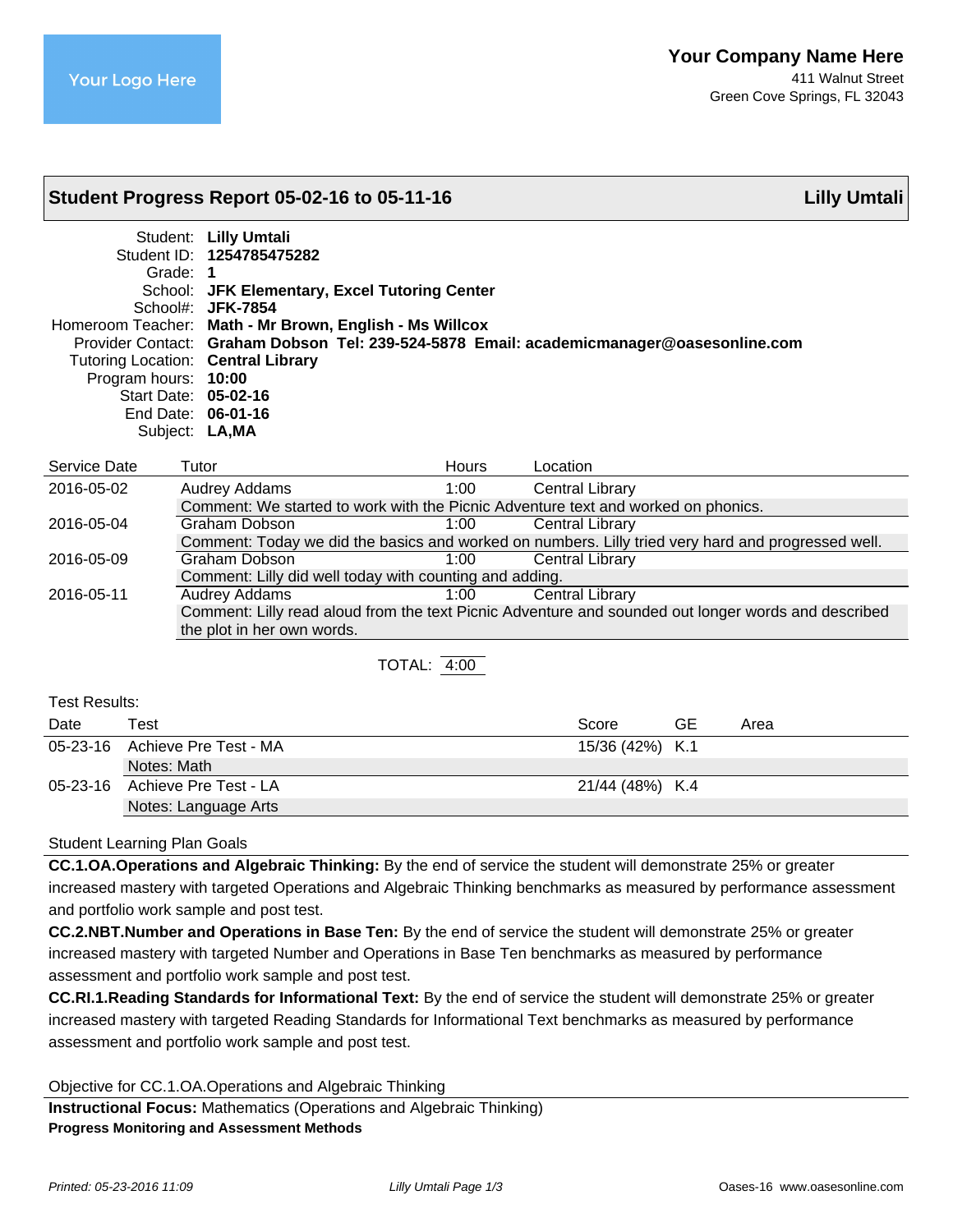# **Student Progress Report 05-02-16 to 05-11-16 Lilly Umtali**

Student: **Lilly Umtali** Student ID: **1254785475282** Grade: **1** School: **JFK Elementary, Excel Tutoring Center** School#: **JFK-7854** Homeroom Teacher: **Math - Mr Brown, English - Ms Willcox** Provider Contact: **Graham Dobson Tel: 239-524-5878 Email: academicmanager@oasesonline.com** Tutoring Location: **Central Library** Program hours: **10:00** Start Date: **05-02-16** End Date: **06-01-16** Subject: **LA,MA**

| Service Date | Tutor                                                                                              | <b>Hours</b> | Location                                                                                            |
|--------------|----------------------------------------------------------------------------------------------------|--------------|-----------------------------------------------------------------------------------------------------|
| 2016-05-02   | <b>Audrey Addams</b>                                                                               | $1:00^{-}$   | <b>Central Library</b>                                                                              |
|              | Comment: We started to work with the Picnic Adventure text and worked on phonics.                  |              |                                                                                                     |
| 2016-05-04   | Graham Dobson                                                                                      | 1:00         | <b>Central Library</b>                                                                              |
|              | Comment: Today we did the basics and worked on numbers. Lilly tried very hard and progressed well. |              |                                                                                                     |
| 2016-05-09   | Graham Dobson                                                                                      | 1:00         | <b>Central Library</b>                                                                              |
|              | Comment: Lilly did well today with counting and adding.                                            |              |                                                                                                     |
| 2016-05-11   | <b>Audrey Addams</b>                                                                               | 1:00         | <b>Central Library</b>                                                                              |
|              |                                                                                                    |              | Comment: Lilly read aloud from the text Picnic Adventure and sounded out longer words and described |
|              | the plot in her own words.                                                                         |              |                                                                                                     |
|              |                                                                                                    |              |                                                                                                     |

TOTAL: 4:00

Test Results:

| Date | Test                           | Score           | GE | Area |
|------|--------------------------------|-----------------|----|------|
|      | 05-23-16 Achieve Pre Test - MA | 15/36 (42%) K.1 |    |      |
|      | Notes: Math                    |                 |    |      |
|      | 05-23-16 Achieve Pre Test - LA | 21/44 (48%) K.4 |    |      |
|      | Notes: Language Arts           |                 |    |      |

# Student Learning Plan Goals

**CC.1.OA.Operations and Algebraic Thinking:** By the end of service the student will demonstrate 25% or greater increased mastery with targeted Operations and Algebraic Thinking benchmarks as measured by performance assessment and portfolio work sample and post test.

**CC.2.NBT.Number and Operations in Base Ten:** By the end of service the student will demonstrate 25% or greater increased mastery with targeted Number and Operations in Base Ten benchmarks as measured by performance assessment and portfolio work sample and post test.

**CC.RI.1.Reading Standards for Informational Text:** By the end of service the student will demonstrate 25% or greater increased mastery with targeted Reading Standards for Informational Text benchmarks as measured by performance assessment and portfolio work sample and post test.

Objective for CC.1.OA.Operations and Algebraic Thinking

**Instructional Focus:** Mathematics (Operations and Algebraic Thinking) **Progress Monitoring and Assessment Methods**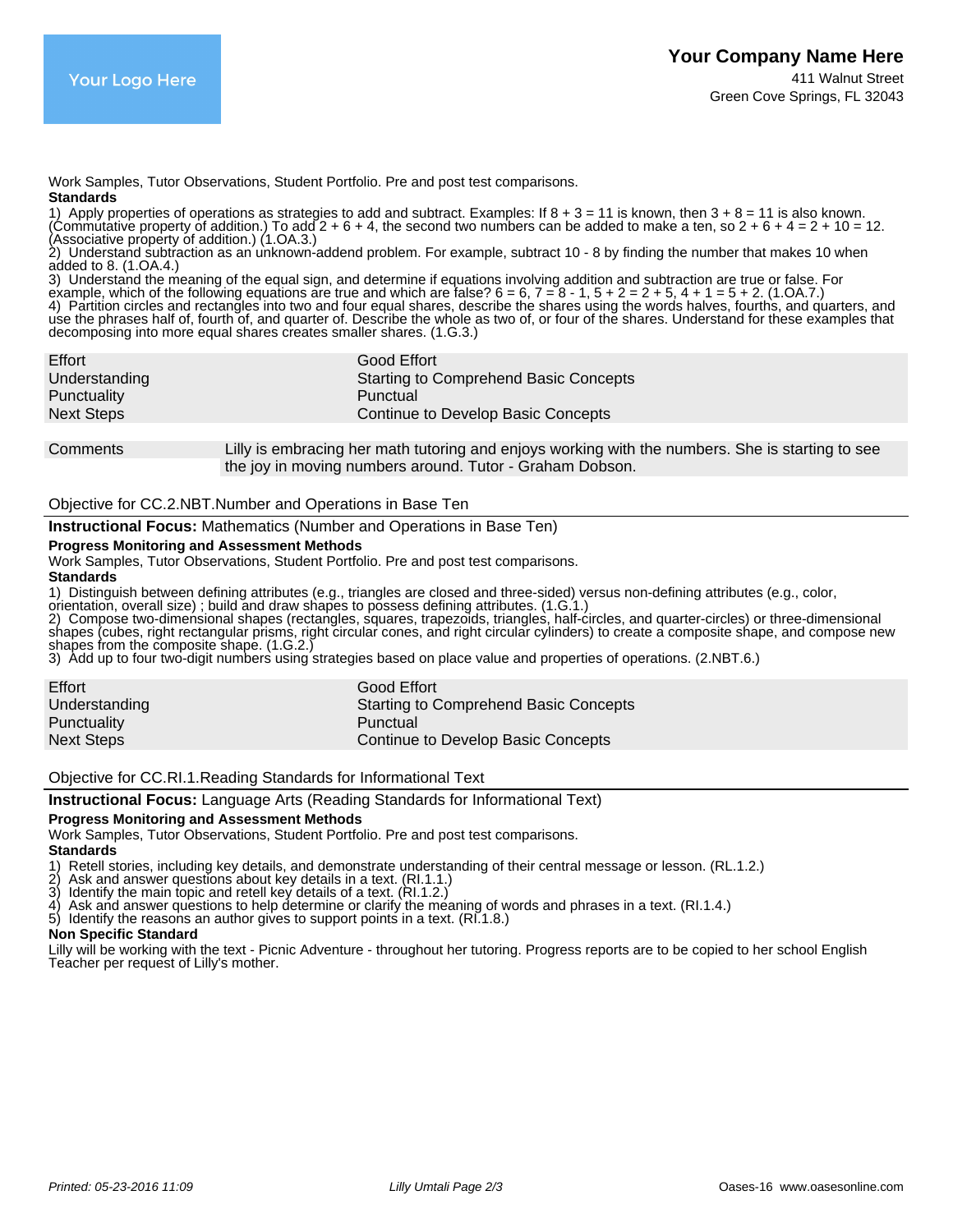Work Samples, Tutor Observations, Student Portfolio. Pre and post test comparisons. **Standards**

1) Apply properties of operations as strategies to add and subtract. Examples: If  $8 + 3 = 11$  is known, then  $3 + 8 = 11$  is also known. (Commutative property of addition.) To add  $2 + 6 + 4$ , the second two numbers can be added to make a ten, so  $2 + 6 + 4 = 2 + 10 = 12$ . (Associative property of addition.) (1.OA.3.)

2) Understand subtraction as an unknown-addend problem. For example, subtract 10 - 8 by finding the number that makes 10 when added to 8. (1.OA.4.)

3) Understand the meaning of the equal sign, and determine if equations involving addition and subtraction are true or false. For example, which of the following equations are true and which are false?  $6 = 6, 7 = 8 - 1, 5 + 2 = 2 + 5, 4 + 1 = 5 + 2$ . (1.OA.7.) 4) Partition circles and rectangles into two and four equal shares, describe the shares using the words halves, fourths, and quarters, and use the phrases half of, fourth of, and quarter of. Describe the whole as two of, or four of the shares. Understand for these examples that decomposing into more equal shares creates smaller shares. (1.G.3.)

| <b>Starting to Comprehend Basic Concepts</b> |
|----------------------------------------------|
|                                              |
|                                              |
|                                              |

Comments Lilly is embracing her math tutoring and enjoys working with the numbers. She is starting to see the joy in moving numbers around. Tutor - Graham Dobson.

# Objective for CC.2.NBT.Number and Operations in Base Ten

**Instructional Focus:** Mathematics (Number and Operations in Base Ten)

## **Progress Monitoring and Assessment Methods**

Work Samples, Tutor Observations, Student Portfolio. Pre and post test comparisons.

#### **Standards**

1) Distinguish between defining attributes (e.g., triangles are closed and three-sided) versus non-defining attributes (e.g., color,

orientation, overall size) ; build and draw shapes to possess defining attributes. (1.G.1.)

2) Compose two-dimensional shapes (rectangles, squares, trapezoids, triangles, half-circles, and quarter-circles) or three-dimensional shapes (cubes, right rectangular prisms, right circular cones, and right circular cylinders) to create a composite shape, and compose new

shapes from the composite shape. (1.G.2.)

3) Add up to four two-digit numbers using strategies based on place value and properties of operations. (2.NBT.6.)

| Effort            | Good Effort                                  |
|-------------------|----------------------------------------------|
| Understanding     | <b>Starting to Comprehend Basic Concepts</b> |
| Punctuality       | Punctual                                     |
| <b>Next Steps</b> | Continue to Develop Basic Concepts           |

Objective for CC.RI.1.Reading Standards for Informational Text

# **Instructional Focus:** Language Arts (Reading Standards for Informational Text)

## **Progress Monitoring and Assessment Methods**

Work Samples, Tutor Observations, Student Portfolio. Pre and post test comparisons.

## **Standards**

1) Retell stories, including key details, and demonstrate understanding of their central message or lesson. (RL.1.2.)<br>2) Ask and answer questions about key details in a text. (Rl.1.1.)<br>3) Identify the main topic and retell

- 2) Ask and answer questions about key details in a text. (RI.1.1.)
- 3) Identify the main topic and retell key details of a text. (RI.1.2.)
- 4) Ask and answer questions to help determine or clarify the meaning of words and phrases in a text. (RI.1.4.)
- 5) Identify the reasons an author gives to support points in a text. (RI.1.8.)

## **Non Specific Standard**

Lilly will be working with the text - Picnic Adventure - throughout her tutoring. Progress reports are to be copied to her school English Teacher per request of Lilly's mother.